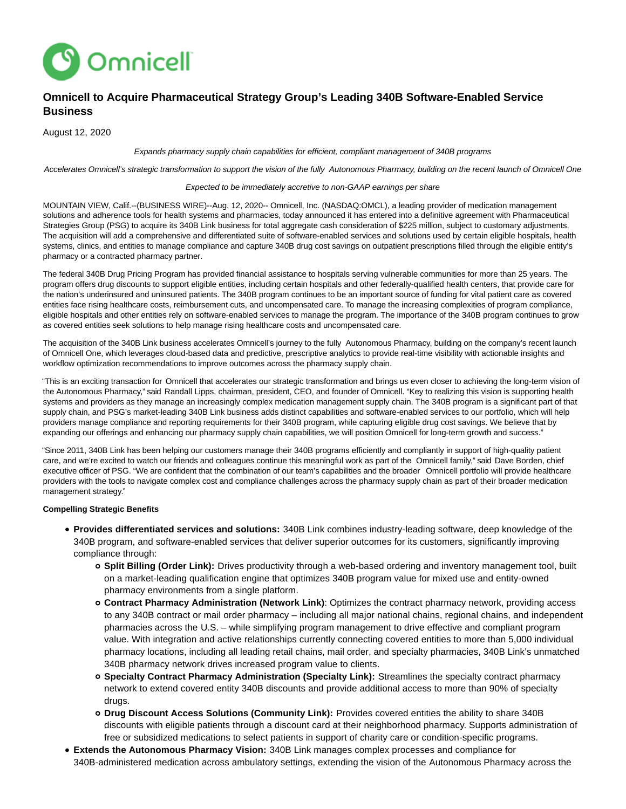

# **Omnicell to Acquire Pharmaceutical Strategy Group's Leading 340B Software-Enabled Service Business**

August 12, 2020

## Expands pharmacy supply chain capabilities for efficient, compliant management of 340B programs

Accelerates Omnicell's strategic transformation to support the vision of the fully Autonomous Pharmacy, building on the recent launch of Omnicell One

### Expected to be immediately accretive to non-GAAP earnings per share

MOUNTAIN VIEW, Calif.--(BUSINESS WIRE)--Aug. 12, 2020-- Omnicell, Inc. (NASDAQ:OMCL), a leading provider of medication management solutions and adherence tools for health systems and pharmacies, today announced it has entered into a definitive agreement with Pharmaceutical Strategies Group (PSG) to acquire its 340B Link business for total aggregate cash consideration of \$225 million, subject to customary adjustments. The acquisition will add a comprehensive and differentiated suite of software-enabled services and solutions used by certain eligible hospitals, health systems, clinics, and entities to manage compliance and capture 340B drug cost savings on outpatient prescriptions filled through the eligible entity's pharmacy or a contracted pharmacy partner.

The federal 340B Drug Pricing Program has provided financial assistance to hospitals serving vulnerable communities for more than 25 years. The program offers drug discounts to support eligible entities, including certain hospitals and other federally-qualified health centers, that provide care for the nation's underinsured and uninsured patients. The 340B program continues to be an important source of funding for vital patient care as covered entities face rising healthcare costs, reimbursement cuts, and uncompensated care. To manage the increasing complexities of program compliance, eligible hospitals and other entities rely on software-enabled services to manage the program. The importance of the 340B program continues to grow as covered entities seek solutions to help manage rising healthcare costs and uncompensated care.

The acquisition of the 340B Link business accelerates Omnicell's journey to the fully Autonomous Pharmacy, building on the company's recent launch of Omnicell One, which leverages cloud-based data and predictive, prescriptive analytics to provide real-time visibility with actionable insights and workflow optimization recommendations to improve outcomes across the pharmacy supply chain.

"This is an exciting transaction for Omnicell that accelerates our strategic transformation and brings us even closer to achieving the long-term vision of the Autonomous Pharmacy," said Randall Lipps, chairman, president, CEO, and founder of Omnicell. "Key to realizing this vision is supporting health systems and providers as they manage an increasingly complex medication management supply chain. The 340B program is a significant part of that supply chain, and PSG's market-leading 340B Link business adds distinct capabilities and software-enabled services to our portfolio, which will help providers manage compliance and reporting requirements for their 340B program, while capturing eligible drug cost savings. We believe that by expanding our offerings and enhancing our pharmacy supply chain capabilities, we will position Omnicell for long-term growth and success."

"Since 2011, 340B Link has been helping our customers manage their 340B programs efficiently and compliantly in support of high-quality patient care, and we're excited to watch our friends and colleagues continue this meaningful work as part of the Omnicell family," said Dave Borden, chief executive officer of PSG. "We are confident that the combination of our team's capabilities and the broader Omnicell portfolio will provide healthcare providers with the tools to navigate complex cost and compliance challenges across the pharmacy supply chain as part of their broader medication management strategy."

### **Compelling Strategic Benefits**

- **Provides differentiated services and solutions:** 340B Link combines industry-leading software, deep knowledge of the 340B program, and software-enabled services that deliver superior outcomes for its customers, significantly improving compliance through:
	- **Split Billing (Order Link):** Drives productivity through a web-based ordering and inventory management tool, built on a market-leading qualification engine that optimizes 340B program value for mixed use and entity-owned pharmacy environments from a single platform.
	- **Contract Pharmacy Administration (Network Link)**: Optimizes the contract pharmacy network, providing access to any 340B contract or mail order pharmacy – including all major national chains, regional chains, and independent pharmacies across the U.S. – while simplifying program management to drive effective and compliant program value. With integration and active relationships currently connecting covered entities to more than 5,000 individual pharmacy locations, including all leading retail chains, mail order, and specialty pharmacies, 340B Link's unmatched 340B pharmacy network drives increased program value to clients.
	- **Specialty Contract Pharmacy Administration (Specialty Link):** Streamlines the specialty contract pharmacy network to extend covered entity 340B discounts and provide additional access to more than 90% of specialty drugs.
	- **Drug Discount Access Solutions (Community Link):** Provides covered entities the ability to share 340B discounts with eligible patients through a discount card at their neighborhood pharmacy. Supports administration of free or subsidized medications to select patients in support of charity care or condition-specific programs.
- **Extends the Autonomous Pharmacy Vision:** 340B Link manages complex processes and compliance for 340B-administered medication across ambulatory settings, extending the vision of the Autonomous Pharmacy across the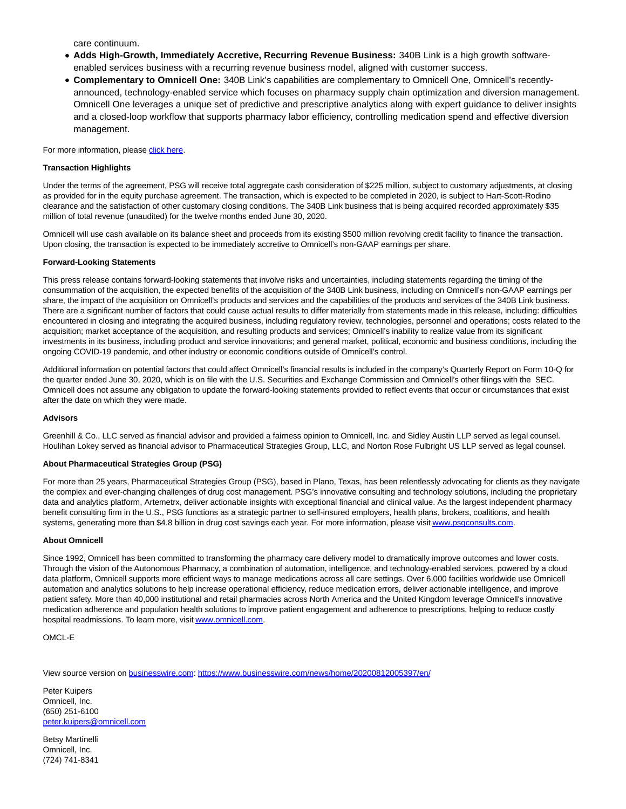care continuum.

- **Adds High-Growth, Immediately Accretive, Recurring Revenue Business:** 340B Link is a high growth softwareenabled services business with a recurring revenue business model, aligned with customer success.
- **Complementary to Omnicell One:** 340B Link's capabilities are complementary to Omnicell One, Omnicell's recentlyannounced, technology-enabled service which focuses on pharmacy supply chain optimization and diversion management. Omnicell One leverages a unique set of predictive and prescriptive analytics along with expert guidance to deliver insights and a closed-loop workflow that supports pharmacy labor efficiency, controlling medication spend and effective diversion management.

For more information, please [click here.](https://cts.businesswire.com/ct/CT?id=smartlink&url=https%3A%2F%2Fwww.omnicell.com%2FPDFs%2FIntelligence%2FOmnicell-to-Acquire-340B-Link-V1.pdf&esheet=52265409&newsitemid=20200812005397&lan=en-US&anchor=click+here&index=1&md5=437c6b3e0e48b37e97eed9f82fea3767)

## **Transaction Highlights**

Under the terms of the agreement, PSG will receive total aggregate cash consideration of \$225 million, subject to customary adjustments, at closing as provided for in the equity purchase agreement. The transaction, which is expected to be completed in 2020, is subject to Hart-Scott-Rodino clearance and the satisfaction of other customary closing conditions. The 340B Link business that is being acquired recorded approximately \$35 million of total revenue (unaudited) for the twelve months ended June 30, 2020.

Omnicell will use cash available on its balance sheet and proceeds from its existing \$500 million revolving credit facility to finance the transaction. Upon closing, the transaction is expected to be immediately accretive to Omnicell's non-GAAP earnings per share.

## **Forward-Looking Statements**

This press release contains forward-looking statements that involve risks and uncertainties, including statements regarding the timing of the consummation of the acquisition, the expected benefits of the acquisition of the 340B Link business, including on Omnicell's non-GAAP earnings per share, the impact of the acquisition on Omnicell's products and services and the capabilities of the products and services of the 340B Link business. There are a significant number of factors that could cause actual results to differ materially from statements made in this release, including: difficulties encountered in closing and integrating the acquired business, including regulatory review, technologies, personnel and operations; costs related to the acquisition; market acceptance of the acquisition, and resulting products and services; Omnicell's inability to realize value from its significant investments in its business, including product and service innovations; and general market, political, economic and business conditions, including the ongoing COVID-19 pandemic, and other industry or economic conditions outside of Omnicell's control.

Additional information on potential factors that could affect Omnicell's financial results is included in the company's Quarterly Report on Form 10-Q for the quarter ended June 30, 2020, which is on file with the U.S. Securities and Exchange Commission and Omnicell's other filings with the SEC. Omnicell does not assume any obligation to update the forward-looking statements provided to reflect events that occur or circumstances that exist after the date on which they were made.

### **Advisors**

Greenhill & Co., LLC served as financial advisor and provided a fairness opinion to Omnicell, Inc. and Sidley Austin LLP served as legal counsel. Houlihan Lokey served as financial advisor to Pharmaceutical Strategies Group, LLC, and Norton Rose Fulbright US LLP served as legal counsel.

# **About Pharmaceutical Strategies Group (PSG)**

For more than 25 years, Pharmaceutical Strategies Group (PSG), based in Plano, Texas, has been relentlessly advocating for clients as they navigate the complex and ever-changing challenges of drug cost management. PSG's innovative consulting and technology solutions, including the proprietary data and analytics platform, Artemetrx, deliver actionable insights with exceptional financial and clinical value. As the largest independent pharmacy benefit consulting firm in the U.S., PSG functions as a strategic partner to self-insured employers, health plans, brokers, coalitions, and health systems, generating more than \$4.8 billion in drug cost savings each year. For more information, please visi[t www.psgconsults.com.](https://cts.businesswire.com/ct/CT?id=smartlink&url=http%3A%2F%2Fwww.psgconsults.com&esheet=52265409&newsitemid=20200812005397&lan=en-US&anchor=www.psgconsults.com&index=3&md5=ca718d611e187ba4117f5d3c155c9bf8)

## **About Omnicell**

Since 1992, Omnicell has been committed to transforming the pharmacy care delivery model to dramatically improve outcomes and lower costs. Through the vision of the Autonomous Pharmacy, a combination of automation, intelligence, and technology-enabled services, powered by a cloud data platform, Omnicell supports more efficient ways to manage medications across all care settings. Over 6,000 facilities worldwide use Omnicell automation and analytics solutions to help increase operational efficiency, reduce medication errors, deliver actionable intelligence, and improve patient safety. More than 40,000 institutional and retail pharmacies across North America and the United Kingdom leverage Omnicell's innovative medication adherence and population health solutions to improve patient engagement and adherence to prescriptions, helping to reduce costly hospital readmissions. To learn more, visi[t www.omnicell.com.](https://cts.businesswire.com/ct/CT?id=smartlink&url=http%3A%2F%2Fwww.omnicell.com&esheet=52265409&newsitemid=20200812005397&lan=en-US&anchor=www.omnicell.com&index=4&md5=5e1c40eb3905e94c0c7032c23ddb2727)

OMCL-E

View source version on [businesswire.com:](http://businesswire.com/)<https://www.businesswire.com/news/home/20200812005397/en/>

Peter Kuipers Omnicell, Inc. (650) 251-6100 [peter.kuipers@omnicell.com](mailto:peter.kuipers@omnicell.com)

Betsy Martinelli Omnicell, Inc. (724) 741-8341